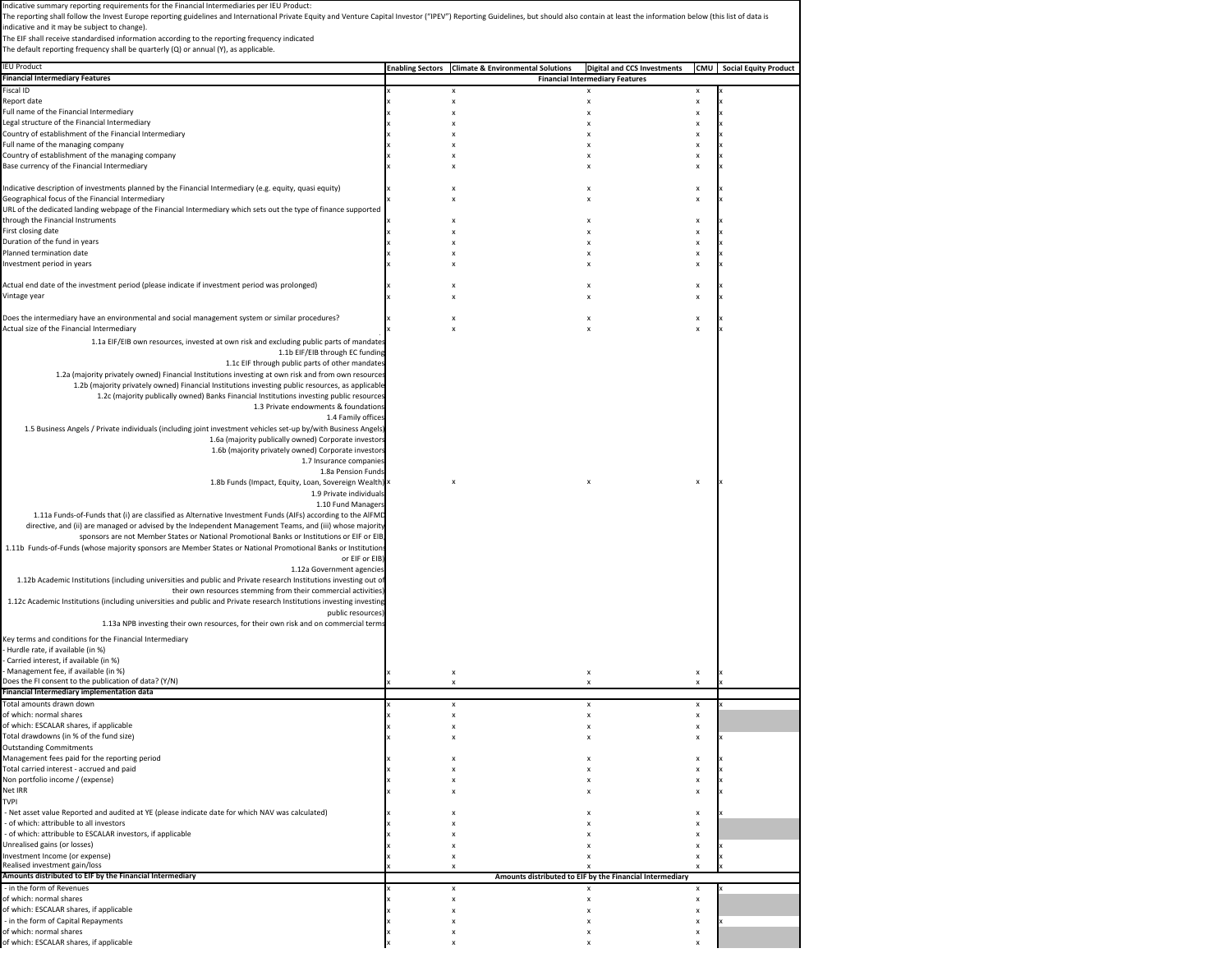| ndicative summary reporting requirements for the Financial Intermediaries per IEU Product:                                                                                                                                     |                                                               |                                                          |                           |                                  |
|--------------------------------------------------------------------------------------------------------------------------------------------------------------------------------------------------------------------------------|---------------------------------------------------------------|----------------------------------------------------------|---------------------------|----------------------------------|
| The reporting shall follow the Invest Europe reporting guidelines and International Private Equity and Venture Capital Investor ("IPEV") Reporting Guidelines, but should also contain at least the information below (this li |                                                               |                                                          |                           |                                  |
| indicative and it may be subject to change).                                                                                                                                                                                   |                                                               |                                                          |                           |                                  |
| The EIF shall receive standardised information according to the reporting frequency indicated<br>The default reporting frequency shall be quarterly (Q) or annual (Y), as applicable.                                          |                                                               |                                                          |                           |                                  |
|                                                                                                                                                                                                                                |                                                               |                                                          |                           |                                  |
| <b>IEU Product</b>                                                                                                                                                                                                             | <b>Enabling Sectors Climate &amp; Environmental Solutions</b> | <b>Digital and CCS Investments</b>                       |                           | <b>CMU</b> Social Equity Product |
| <b>Financial Intermediary Features</b>                                                                                                                                                                                         |                                                               | <b>Financial Intermediary Features</b>                   |                           |                                  |
| Fiscal ID<br>Report date                                                                                                                                                                                                       | x<br>X                                                        | $\boldsymbol{\mathsf{x}}$                                | x<br>X                    |                                  |
| Full name of the Financial Intermediary                                                                                                                                                                                        | x                                                             | $\boldsymbol{\mathsf{x}}$                                | $\pmb{\mathsf{x}}$        |                                  |
| Legal structure of the Financial Intermediary                                                                                                                                                                                  |                                                               |                                                          | X                         |                                  |
| Country of establishment of the Financial Intermediary                                                                                                                                                                         |                                                               |                                                          | x                         |                                  |
| Full name of the managing company                                                                                                                                                                                              | $\boldsymbol{\mathsf{x}}$                                     |                                                          | x                         |                                  |
| Country of establishment of the managing company                                                                                                                                                                               |                                                               |                                                          | x                         |                                  |
| Base currency of the Financial Intermediary                                                                                                                                                                                    |                                                               |                                                          | x                         |                                  |
| Indicative description of investments planned by the Financial Intermediary (e.g. equity, quasi equity)                                                                                                                        |                                                               |                                                          | x                         |                                  |
| Geographical focus of the Financial Intermediary                                                                                                                                                                               |                                                               |                                                          | x                         |                                  |
| URL of the dedicated landing webpage of the Financial Intermediary which sets out the type of finance supported                                                                                                                |                                                               |                                                          |                           |                                  |
| through the Financial Instruments                                                                                                                                                                                              |                                                               |                                                          | x                         |                                  |
| First closing date                                                                                                                                                                                                             |                                                               |                                                          | x                         |                                  |
| Duration of the fund in years                                                                                                                                                                                                  |                                                               |                                                          | x                         |                                  |
| Planned termination date                                                                                                                                                                                                       |                                                               |                                                          | x                         |                                  |
| Investment period in years                                                                                                                                                                                                     | $\boldsymbol{\mathsf{x}}$                                     |                                                          | x                         |                                  |
| Actual end date of the investment period (please indicate if investment period was prolonged)                                                                                                                                  |                                                               |                                                          | x                         |                                  |
| Vintage year                                                                                                                                                                                                                   | ×                                                             |                                                          | $\pmb{\times}$            |                                  |
|                                                                                                                                                                                                                                |                                                               |                                                          |                           |                                  |
| Does the intermediary have an environmental and social management system or similar procedures?                                                                                                                                | X                                                             | $\boldsymbol{\mathsf{x}}$                                | x                         |                                  |
| Actual size of the Financial Intermediary                                                                                                                                                                                      |                                                               |                                                          | x                         |                                  |
| 1.1a EIF/EIB own resources, invested at own risk and excluding public parts of mandates                                                                                                                                        |                                                               |                                                          |                           |                                  |
| 1.1b EIF/EIB through EC funding                                                                                                                                                                                                |                                                               |                                                          |                           |                                  |
| 1.1c EIF through public parts of other mandates                                                                                                                                                                                |                                                               |                                                          |                           |                                  |
| 1.2a (majority privately owned) Financial Institutions investing at own risk and from own resources                                                                                                                            |                                                               |                                                          |                           |                                  |
| 1.2b (majority privately owned) Financial Institutions investing public resources, as applicable                                                                                                                               |                                                               |                                                          |                           |                                  |
| 1.2c (majority publically owned) Banks Financial Institutions investing public resources<br>1.3 Private endowments & foundations                                                                                               |                                                               |                                                          |                           |                                  |
| 1.4 Family offices                                                                                                                                                                                                             |                                                               |                                                          |                           |                                  |
| 1.5 Business Angels / Private individuals (including joint investment vehicles set-up by/with Business Angels)                                                                                                                 |                                                               |                                                          |                           |                                  |
| 1.6a (majority publically owned) Corporate investors                                                                                                                                                                           |                                                               |                                                          |                           |                                  |
| 1.6b (majority privately owned) Corporate investors                                                                                                                                                                            |                                                               |                                                          |                           |                                  |
| 1.7 Insurance companies                                                                                                                                                                                                        |                                                               |                                                          |                           |                                  |
| 1.8a Pension Funds                                                                                                                                                                                                             |                                                               |                                                          |                           |                                  |
| 1.8b Funds (Impact, Equity, Loan, Sovereign Wealth)                                                                                                                                                                            | X                                                             | x                                                        | x                         |                                  |
| 1.9 Private individuals<br>1.10 Fund Managers                                                                                                                                                                                  |                                                               |                                                          |                           |                                  |
| 1.11a Funds-of-Funds that (i) are classified as Alternative Investment Funds (AIFs) according to the AIFMD                                                                                                                     |                                                               |                                                          |                           |                                  |
| directive, and (ii) are managed or advised by the Independent Management Teams, and (iii) whose majority                                                                                                                       |                                                               |                                                          |                           |                                  |
| sponsors are not Member States or National Promotional Banks or Institutions or EIF or EIB,                                                                                                                                    |                                                               |                                                          |                           |                                  |
| 1.11b Funds-of-Funds (whose majority sponsors are Member States or National Promotional Banks or Institutions                                                                                                                  |                                                               |                                                          |                           |                                  |
| or EIF or EIB)                                                                                                                                                                                                                 |                                                               |                                                          |                           |                                  |
| 1.12a Government agencies                                                                                                                                                                                                      |                                                               |                                                          |                           |                                  |
| 1.12b Academic Institutions (including universities and public and Private research Institutions investing out of                                                                                                              |                                                               |                                                          |                           |                                  |
| their own resources stemming from their commercial activities)                                                                                                                                                                 |                                                               |                                                          |                           |                                  |
| 1.12c Academic Institutions (including universities and public and Private research Institutions investing investing<br>public resources)                                                                                      |                                                               |                                                          |                           |                                  |
| 1.13a NPB investing their own resources, for their own risk and on commercial terms                                                                                                                                            |                                                               |                                                          |                           |                                  |
|                                                                                                                                                                                                                                |                                                               |                                                          |                           |                                  |
| Key terms and conditions for the Financial Intermediary                                                                                                                                                                        |                                                               |                                                          |                           |                                  |
| Hurdle rate, if available (in %)<br>Carried interest, if available (in %)                                                                                                                                                      |                                                               |                                                          |                           |                                  |
| Management fee, if available (in %)                                                                                                                                                                                            | x                                                             | x                                                        | x                         |                                  |
| Does the FI consent to the publication of data? (Y/N)                                                                                                                                                                          | $\boldsymbol{\mathsf{x}}$                                     | $\boldsymbol{\mathsf{x}}$                                | x                         |                                  |
| Financial Intermediary implementation data                                                                                                                                                                                     |                                                               |                                                          |                           |                                  |
| <b>Total amounts drawn down</b>                                                                                                                                                                                                | x                                                             | X                                                        | x                         |                                  |
| of which: normal shares                                                                                                                                                                                                        | x                                                             | X                                                        | x                         |                                  |
| of which: ESCALAR shares, if applicable                                                                                                                                                                                        | $\boldsymbol{\mathsf{x}}$                                     | $\boldsymbol{\mathsf{x}}$                                | $\boldsymbol{\mathsf{x}}$ |                                  |
| Total drawdowns (in % of the fund size)                                                                                                                                                                                        |                                                               |                                                          | x                         |                                  |
| <b>Outstanding Commitments</b><br>Management fees paid for the reporting period                                                                                                                                                |                                                               | x                                                        | x                         |                                  |
| Total carried interest - accrued and paid                                                                                                                                                                                      | x                                                             |                                                          | x                         |                                  |
| Non portfolio income / (expense)                                                                                                                                                                                               |                                                               | X                                                        | x                         |                                  |
| Net IRR                                                                                                                                                                                                                        |                                                               |                                                          | x                         |                                  |
| <b>TVPI</b>                                                                                                                                                                                                                    |                                                               |                                                          |                           |                                  |
| - Net asset value Reported and audited at YE (please indicate date for which NAV was calculated)                                                                                                                               |                                                               |                                                          | x                         |                                  |
| of which: attribuble to all investors                                                                                                                                                                                          |                                                               |                                                          | x                         |                                  |
| - of which: attribuble to ESCALAR investors, if applicable                                                                                                                                                                     |                                                               |                                                          | x                         |                                  |
| Unrealised gains (or losses)                                                                                                                                                                                                   | x                                                             | x                                                        | X                         |                                  |
| nvestment Income (or expense)<br>Realised investment gain/loss                                                                                                                                                                 | X<br>$\boldsymbol{\mathsf{x}}$                                |                                                          | x<br>x                    |                                  |
| Amounts distributed to EIF by the Financial Intermediary                                                                                                                                                                       |                                                               | Amounts distributed to EIF by the Financial Intermediary |                           |                                  |
| - in the form of Revenues                                                                                                                                                                                                      | x                                                             |                                                          | x                         |                                  |
| of which: normal shares                                                                                                                                                                                                        | x                                                             | $\boldsymbol{\mathsf{x}}$                                | x                         |                                  |
| of which: ESCALAR shares, if applicable                                                                                                                                                                                        | $\boldsymbol{\mathsf{x}}$                                     | X                                                        | x                         |                                  |
| - in the form of Capital Repayments                                                                                                                                                                                            | x                                                             | X                                                        | x                         |                                  |
| of which: normal shares                                                                                                                                                                                                        | ×                                                             | $\boldsymbol{\mathsf{x}}$                                | x                         |                                  |
| of which: ESCALAR shares, if applicable                                                                                                                                                                                        |                                                               |                                                          |                           |                                  |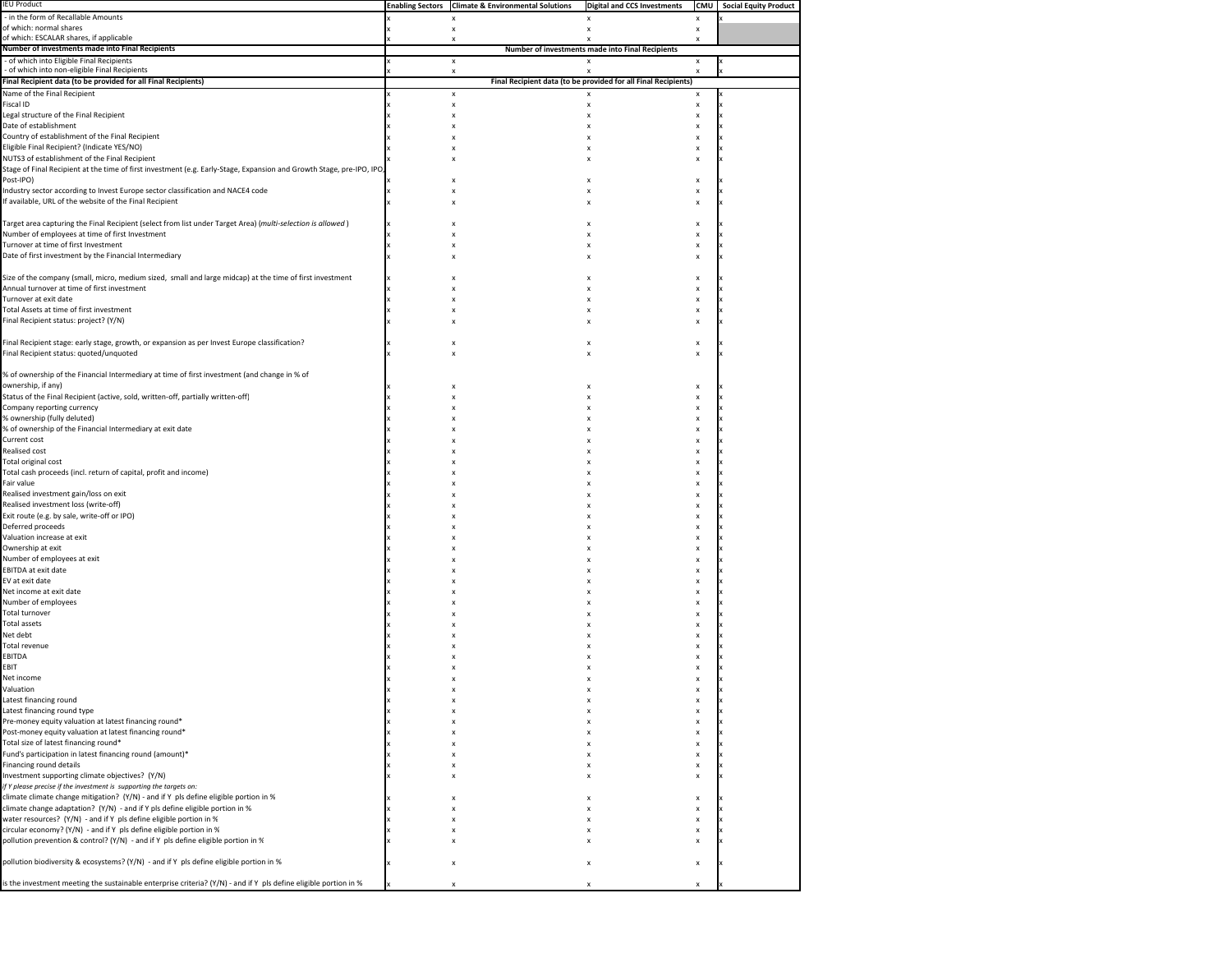| <b>IEU Product</b>                                                                                                    | <b>Enabling Sectors Climate &amp; Environmental Solutions</b> | <b>Digital and CCS Investments</b>                             | <b>CMU</b>                     | <b>Social Equity Product</b> |
|-----------------------------------------------------------------------------------------------------------------------|---------------------------------------------------------------|----------------------------------------------------------------|--------------------------------|------------------------------|
| - in the form of Recallable Amounts                                                                                   | x                                                             | x                                                              | x                              |                              |
| of which: normal shares                                                                                               | x                                                             | x                                                              | X                              |                              |
| of which: ESCALAR shares, if applicable                                                                               | x                                                             |                                                                | x                              |                              |
| Number of investments made into Final Recipients                                                                      |                                                               | Number of investments made into Final Recipients               |                                |                              |
| - of which into Eligible Final Recipients<br>- of which into non-eligible Final Recipients                            | $\boldsymbol{\mathsf{x}}$<br>x                                | $\boldsymbol{\mathsf{x}}$                                      | X                              |                              |
| Final Recipient data (to be provided for all Final Recipients)                                                        |                                                               | Final Recipient data (to be provided for all Final Recipients) |                                |                              |
| Name of the Final Recipient                                                                                           | x                                                             | $\boldsymbol{\mathsf{x}}$                                      | X                              |                              |
| Fiscal ID                                                                                                             | x                                                             |                                                                | x                              |                              |
| Legal structure of the Final Recipient                                                                                | x                                                             |                                                                | x                              |                              |
| Date of establishment                                                                                                 |                                                               |                                                                | X                              |                              |
| Country of establishment of the Final Recipient                                                                       |                                                               |                                                                |                                |                              |
| Eligible Final Recipient? (Indicate YES/NO)                                                                           |                                                               |                                                                | x                              |                              |
| NUTS3 of establishment of the Final Recipient                                                                         |                                                               |                                                                | x                              |                              |
| Stage of Final Recipient at the time of first investment (e.g. Early-Stage, Expansion and Growth Stage, pre-IPO, IPO, |                                                               |                                                                |                                |                              |
| Post-IPO)                                                                                                             |                                                               |                                                                | x                              |                              |
| Industry sector according to Invest Europe sector classification and NACE4 code                                       |                                                               |                                                                | x                              |                              |
| If available, URL of the website of the Final Recipient                                                               |                                                               |                                                                | x                              |                              |
| Target area capturing the Final Recipient (select from list under Target Area) (multi-selection is allowed)           |                                                               |                                                                |                                |                              |
| Number of employees at time of first Investment                                                                       |                                                               |                                                                | x                              |                              |
| Turnover at time of first Investment                                                                                  |                                                               |                                                                | x<br>x                         |                              |
| Date of first investment by the Financial Intermediary                                                                |                                                               |                                                                | x                              |                              |
|                                                                                                                       |                                                               |                                                                |                                |                              |
| Size of the company (small, micro, medium sized, small and large midcap) at the time of first investment              |                                                               |                                                                | x                              |                              |
| Annual turnover at time of first investment                                                                           |                                                               |                                                                | X                              |                              |
| Turnover at exit date                                                                                                 |                                                               |                                                                | $\boldsymbol{\mathsf{x}}$      |                              |
| Total Assets at time of first investment                                                                              |                                                               |                                                                | x                              |                              |
| Final Recipient status: project? (Y/N)                                                                                |                                                               |                                                                |                                |                              |
|                                                                                                                       |                                                               |                                                                |                                |                              |
| Final Recipient stage: early stage, growth, or expansion as per Invest Europe classification?                         |                                                               |                                                                | x                              |                              |
| Final Recipient status: quoted/unquoted                                                                               |                                                               |                                                                | x                              |                              |
|                                                                                                                       |                                                               |                                                                |                                |                              |
| % of ownership of the Financial Intermediary at time of first investment (and change in % of                          |                                                               |                                                                |                                |                              |
| ownership, if any)                                                                                                    |                                                               |                                                                | x                              |                              |
| Status of the Final Recipient (active, sold, written-off, partially written-off)                                      |                                                               |                                                                | X                              |                              |
| Company reporting currency                                                                                            |                                                               |                                                                |                                |                              |
| % ownership (fully deluted)                                                                                           |                                                               |                                                                |                                |                              |
| % of ownership of the Financial Intermediary at exit date                                                             |                                                               |                                                                |                                |                              |
| Current cost                                                                                                          |                                                               |                                                                |                                |                              |
| Realised cost                                                                                                         |                                                               |                                                                |                                |                              |
| Total original cost<br>Total cash proceeds (incl. return of capital, profit and income)                               |                                                               |                                                                | x                              |                              |
| Fair value                                                                                                            |                                                               |                                                                |                                |                              |
| Realised investment gain/loss on exit                                                                                 |                                                               |                                                                |                                |                              |
| Realised investment loss (write-off)                                                                                  |                                                               |                                                                |                                |                              |
| Exit route (e.g. by sale, write-off or IPO)                                                                           |                                                               |                                                                | x                              |                              |
| Deferred proceeds                                                                                                     |                                                               |                                                                | x                              |                              |
| Valuation increase at exit                                                                                            |                                                               |                                                                |                                |                              |
| Ownership at exit                                                                                                     |                                                               |                                                                | x                              |                              |
| Number of employees at exit                                                                                           |                                                               |                                                                |                                |                              |
| EBITDA at exit date                                                                                                   |                                                               |                                                                |                                |                              |
| EV at exit date                                                                                                       |                                                               |                                                                |                                |                              |
| Net income at exit date                                                                                               |                                                               |                                                                |                                |                              |
| Number of employees                                                                                                   |                                                               |                                                                | x                              |                              |
| Total turnover                                                                                                        |                                                               |                                                                |                                |                              |
| Total assets                                                                                                          |                                                               |                                                                |                                |                              |
| Net debt                                                                                                              |                                                               |                                                                |                                |                              |
| Total revenue                                                                                                         |                                                               |                                                                |                                |                              |
| EBITDA                                                                                                                |                                                               |                                                                | x                              |                              |
| EBIT                                                                                                                  |                                                               |                                                                | x                              |                              |
| Net income<br>Valuation                                                                                               |                                                               |                                                                | x<br>$\boldsymbol{\mathsf{x}}$ |                              |
| Latest financing round                                                                                                |                                                               |                                                                | x                              |                              |
| Latest financing round type                                                                                           |                                                               |                                                                | x                              |                              |
| Pre-money equity valuation at latest financing round*                                                                 |                                                               |                                                                | x                              |                              |
| Post-money equity valuation at latest financing round*                                                                |                                                               |                                                                | x                              |                              |
| Total size of latest financing round*                                                                                 |                                                               |                                                                | X                              |                              |
| Fund's participation in latest financing round (amount)*                                                              |                                                               |                                                                | X                              |                              |
| Financing round details                                                                                               |                                                               |                                                                | X                              |                              |
| Investment supporting climate objectives? (Y/N)                                                                       |                                                               |                                                                | x                              |                              |
| if Y please precise if the investment is supporting the targets on:                                                   |                                                               |                                                                |                                |                              |
| climate climate change mitigation? (Y/N) - and if Y pls define eligible portion in %                                  |                                                               |                                                                | X                              |                              |
| climate change adaptation? (Y/N) - and if Y pls define eligible portion in %                                          |                                                               |                                                                | x                              |                              |
| water resources? (Y/N) - and if Y pls define eligible portion in %                                                    |                                                               |                                                                | x                              |                              |
| circular economy? (Y/N) - and if Y pls define eligible portion in %                                                   |                                                               |                                                                | X                              |                              |
| pollution prevention & control? (Y/N) - and if Y pls define eligible portion in %                                     |                                                               |                                                                | $\boldsymbol{\mathsf{x}}$      |                              |
|                                                                                                                       |                                                               |                                                                |                                |                              |
| pollution biodiversity & ecosystems? (Y/N) - and if Y pls define eligible portion in %                                |                                                               |                                                                | x                              |                              |
|                                                                                                                       |                                                               |                                                                |                                |                              |
| is the investment meeting the sustainable enterprise criteria? (Y/N) - and if Y pls define eligible portion in %      |                                                               |                                                                |                                |                              |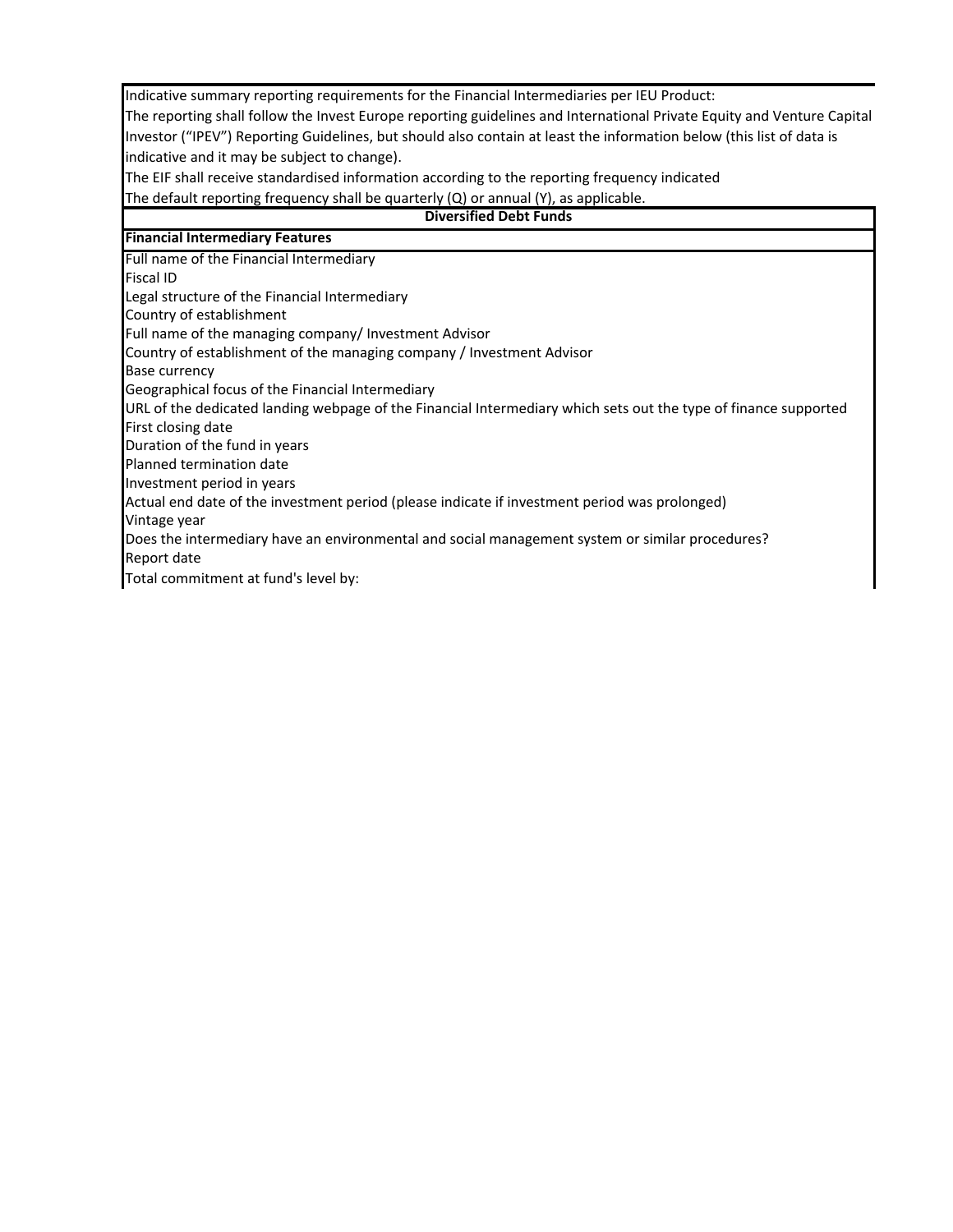Indicative summary reporting requirements for the Financial Intermediaries per IEU Product:

The reporting shall follow the Invest Europe reporting guidelines and International Private Equity and Venture Capital Investor ("IPEV") Reporting Guidelines, but should also contain at least the information below (this list of data is indicative and it may be subject to change).

The EIF shall receive standardised information according to the reporting frequency indicated

The default reporting frequency shall be quarterly (Q) or annual (Y), as applicable.

## **Diversified Debt Funds**

## **Financial Intermediary Features**

Full name of the Financial Intermediary

Fiscal ID

Legal structure of the Financial Intermediary

Country of establishment

Full name of the managing company/ Investment Advisor

Country of establishment of the managing company / Investment Advisor

Base currency

Geographical focus of the Financial Intermediary

URL of the dedicated landing webpage of the Financial Intermediary which sets out the type of finance supported First closing date

Duration of the fund in years

Planned termination date

Investment period in years

Actual end date of the investment period (please indicate if investment period was prolonged)

Vintage year

Does the intermediary have an environmental and social management system or similar procedures? Report date

Total commitment at fund's level by: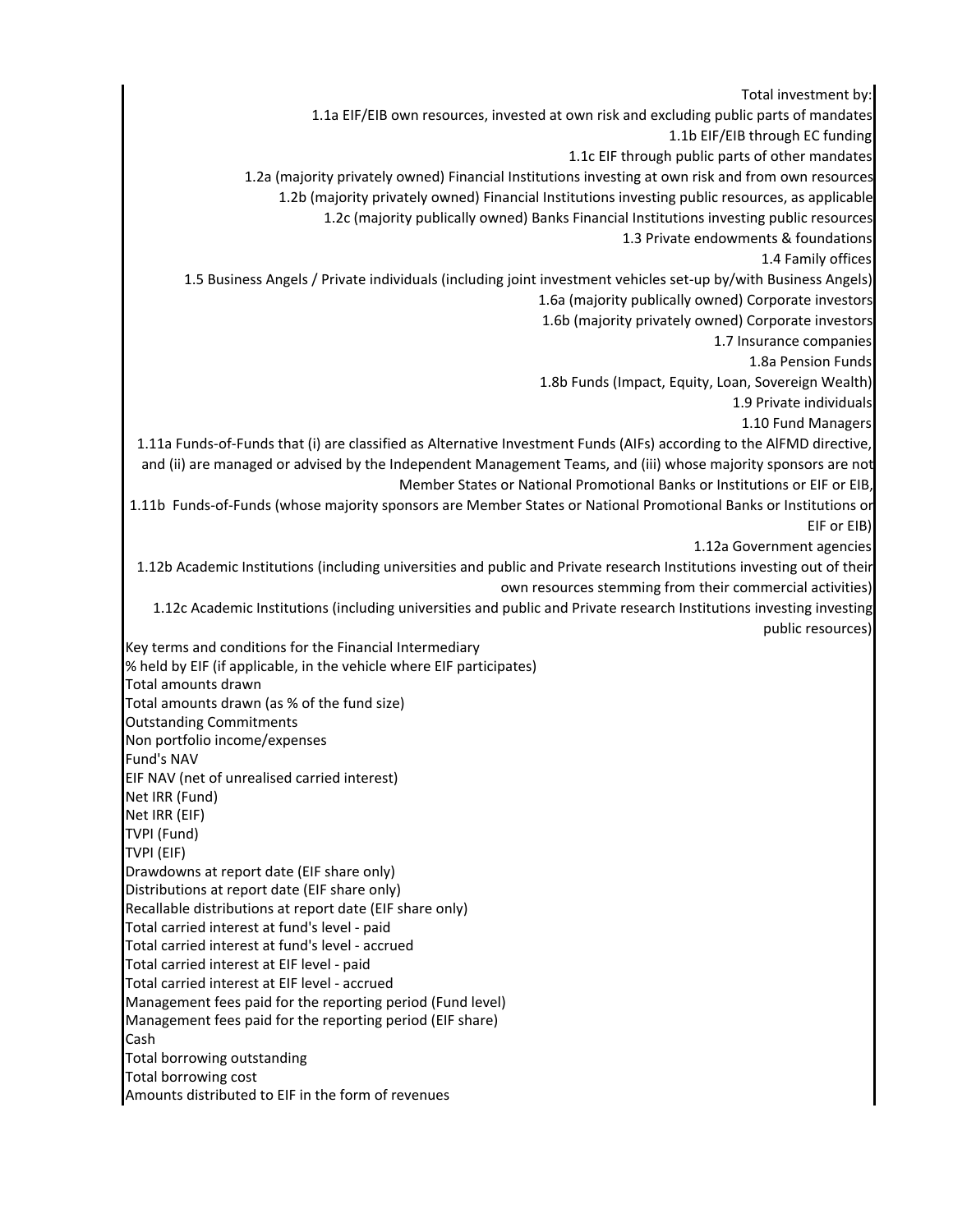Total investment by: 1.1a EIF/EIB own resources, invested at own risk and excluding public parts of mandates 1.1b EIF/EIB through EC funding 1.1c EIF through public parts of other mandates 1.2a (majority privately owned) Financial Institutions investing at own risk and from own resources 1.2b (majority privately owned) Financial Institutions investing public resources, as applicable 1.2c (majority publically owned) Banks Financial Institutions investing public resources 1.3 Private endowments & foundations 1.4 Family offices 1.5 Business Angels / Private individuals (including joint investment vehicles set‐up by/with Business Angels) 1.6a (majority publically owned) Corporate investors 1.6b (majority privately owned) Corporate investors 1.7 Insurance companies 1.8a Pension Funds 1.8b Funds (Impact, Equity, Loan, Sovereign Wealth) 1.9 Private individuals 1.10 Fund Managers 1.11a Funds‐of‐Funds that (i) are classified as Alternative Investment Funds (AIFs) according to the AlFMD directive, and (ii) are managed or advised by the Independent Management Teams, and (iii) whose majority sponsors are not Member States or National Promotional Banks or Institutions or EIF or EIB, 1.11b Funds‐of‐Funds (whose majority sponsors are Member States or National Promotional Banks or Institutions or EIF or EIB) 1.12a Government agencies 1.12b Academic Institutions (including universities and public and Private research Institutions investing out of their own resources stemming from their commercial activities) 1.12c Academic Institutions (including universities and public and Private research Institutions investing investing public resources) Key terms and conditions for the Financial Intermediary % held by EIF (if applicable, in the vehicle where EIF participates) Total amounts drawn Total amounts drawn (as % of the fund size) Outstanding Commitments Non portfolio income/expenses Fund's NAV EIF NAV (net of unrealised carried interest) Net IRR (Fund) Net IRR (EIF) TVPI (Fund) TVPI (EIF) Drawdowns at report date (EIF share only) Distributions at report date (EIF share only) Recallable distributions at report date (EIF share only) Total carried interest at fund's level ‐ paid Total carried interest at fund's level ‐ accrued Total carried interest at EIF level ‐ paid Total carried interest at EIF level ‐ accrued Management fees paid for the reporting period (Fund level) Management fees paid for the reporting period (EIF share) Cash Total borrowing outstanding Total borrowing cost Amounts distributed to EIF in the form of revenues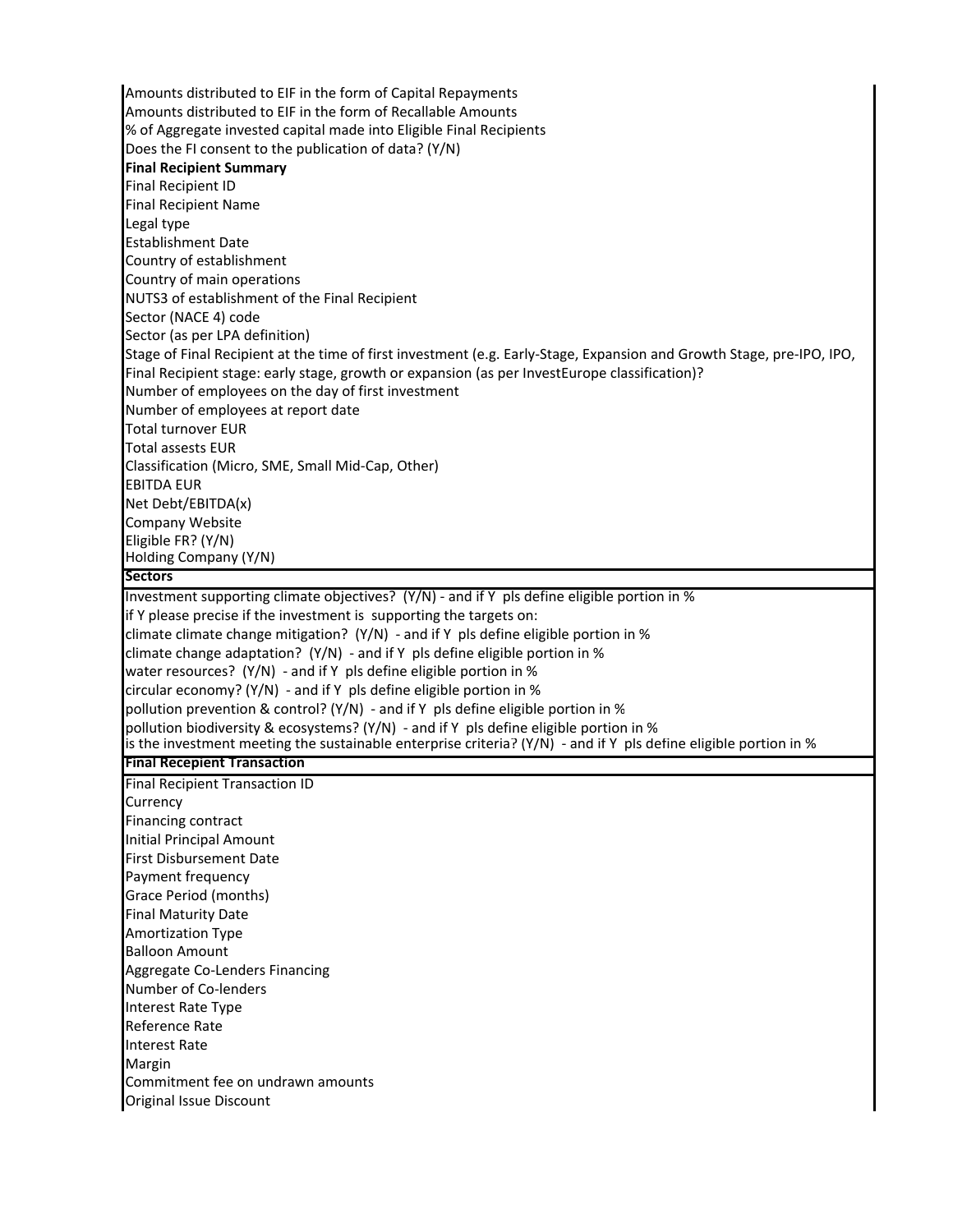Amounts distributed to EIF in the form of Capital Repayments Amounts distributed to EIF in the form of Recallable Amounts % of Aggregate invested capital made into Eligible Final Recipients Does the FI consent to the publication of data? (Y/N) **Final Recipient Summary** Final Recipient ID Final Recipient Name Legal type Establishment Date Country of establishment Country of main operations NUTS3 of establishment of the Final Recipient Sector (NACE 4) code Sector (as per LPA definition) Stage of Final Recipient at the time of first investment (e.g. Early‐Stage, Expansion and Growth Stage, pre‐IPO, IPO, Final Recipient stage: early stage, growth or expansion (as per InvestEurope classification)? Number of employees on the day of first investment Number of employees at report date Total turnover EUR Total assests EUR Classification (Micro, SME, Small Mid‐Cap, Other) EBITDA EUR Net Debt/EBITDA(x) Company Website Eligible FR? (Y/N) Holding Company (Y/N) **Sectors** Investment supporting climate objectives? (Y/N) - and if Y pls define eligible portion in % if Y please precise if the investment is supporting the targets on: climate climate change mitigation?  $(Y/N)$  - and if Y pls define eligible portion in % climate change adaptation?  $(Y/N)$  - and if Y pls define eligible portion in % water resources? (Y/N) - and if Y pls define eligible portion in % circular economy?  $(Y/N)$  - and if Y pls define eligible portion in % pollution prevention & control? (Y/N) - and if Y pls define eligible portion in % pollution biodiversity & ecosystems? (Y/N) ‐ and if Y pls define eligible portion in % is the investment meeting the sustainable enterprise criteria?  $(Y/N)$  - and if Y pls define eligible portion in % **Final Recepient Transaction** Final Recipient Transaction ID Currency Financing contract Initial Principal Amount First Disbursement Date Payment frequency Grace Period (months) Final Maturity Date Amortization Type Balloon Amount Aggregate Co‐Lenders Financing Number of Co‐lenders Interest Rate Type Reference Rate Interest Rate Margin Commitment fee on undrawn amounts Original Issue Discount